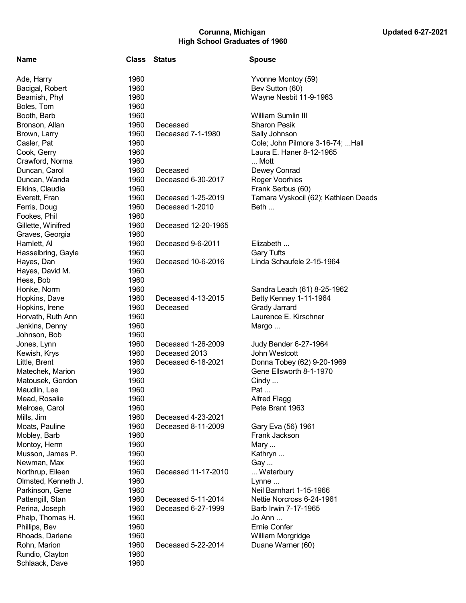## Corunna, Michigan Corunna, Michigan Corunna, Michigan Updated 6-27-2021 High School Graduates of 1960

| Ade, Harry          | 1960 |
|---------------------|------|
| Bacigal, Robert     | 1960 |
| Beamish, Phyl       | 1960 |
| Boles, Tom          | 1960 |
| Booth, Barb         | 1960 |
| Bronson, Allan      |      |
|                     | 1960 |
| Brown, Larry        | 1960 |
| Casler, Pat         | 1960 |
| Cook, Gerry         | 1960 |
| Crawford, Norma     | 1960 |
| Duncan, Carol       | 1960 |
| Duncan, Wanda       | 1960 |
| Elkins, Claudia     | 1960 |
| Everett, Fran       | 1960 |
| Ferris, Doug        | 1960 |
| Fookes, Phil        | 1960 |
| Gillette, Winifred  | 1960 |
| Graves, Georgia     | 1960 |
| Hamlett, Al         | 1960 |
| Hasselbring, Gayle  | 1960 |
| Hayes, Dan          | 1960 |
| Hayes, David M.     | 1960 |
| Hess, Bob           | 1960 |
| Honke, Norm         | 1960 |
| Hopkins, Dave       | 1960 |
|                     |      |
| Hopkins, Irene      | 1960 |
| Horvath, Ruth Ann   | 1960 |
| Jenkins, Denny      | 1960 |
| Johnson, Bob        | 1960 |
| Jones, Lynn         | 1960 |
| Kewish, Krys        | 1960 |
| Little, Brent       | 1960 |
| Matechek, Marion    | 1960 |
| Matousek, Gordon    | 1960 |
| Maudlin, Lee        | 1960 |
| Mead, Rosalie       | 1960 |
| Melrose, Carol      | 1960 |
| Mills, Jim          | 1960 |
| Moats, Pauline      | 1960 |
| Mobley, Barb        | 1960 |
| Montoy, Herm        | 1960 |
| Musson, James P.    | 1960 |
| Newman, Max         | 1960 |
| Northrup, Eileen    | 1960 |
| Olmsted, Kenneth J. | 1960 |
| Parkinson, Gene     | 1960 |
| Pattengill, Stan    | 1960 |
| Perina, Joseph      | 1960 |
| Phalp, Thomas H.    | 1960 |
|                     |      |
| Phillips, Bev       | 1960 |
| Rhoads, Darlene     | 1960 |
| Rohn, Marion        | 1960 |
| Rundio, Clayton     | 1960 |
| Schlaack, Dave      | 1960 |

| Name                | <b>Class</b> | Status              | <b>Spouse</b>                        |
|---------------------|--------------|---------------------|--------------------------------------|
| Ade, Harry          | 1960         |                     | Yvonne Montoy (59)                   |
| Bacigal, Robert     | 1960         |                     | Bev Sutton (60)                      |
| Beamish, Phyl       | 1960         |                     | Wayne Nesbit 11-9-1963               |
| Boles, Tom          | 1960         |                     |                                      |
| Booth, Barb         | 1960         |                     | <b>William Sumlin III</b>            |
| Bronson, Allan      | 1960         | Deceased            | <b>Sharon Pesik</b>                  |
| Brown, Larry        | 1960         | Deceased 7-1-1980   | Sally Johnson                        |
| Casler, Pat         | 1960         |                     | Cole; John Pilmore 3-16-74;  Hall    |
| Cook, Gerry         | 1960         |                     | Laura E. Haner 8-12-1965             |
| Crawford, Norma     | 1960         |                     | Mott                                 |
| Duncan, Carol       | 1960         | Deceased            | Dewey Conrad                         |
| Duncan, Wanda       | 1960         | Deceased 6-30-2017  | <b>Roger Voorhies</b>                |
| Elkins, Claudia     | 1960         |                     | Frank Serbus (60)                    |
| Everett, Fran       | 1960         | Deceased 1-25-2019  | Tamara Vyskocil (62); Kathleen Deeds |
| Ferris, Doug        | 1960         | Deceased 1-2010     | Beth                                 |
| Fookes, Phil        | 1960         |                     |                                      |
| Gillette, Winifred  | 1960         | Deceased 12-20-1965 |                                      |
| Graves, Georgia     | 1960         |                     |                                      |
| Hamlett, Al         | 1960         | Deceased 9-6-2011   | Elizabeth                            |
| Hasselbring, Gayle  | 1960         |                     | <b>Gary Tufts</b>                    |
| Hayes, Dan          | 1960         | Deceased 10-6-2016  | Linda Schaufele 2-15-1964            |
| Hayes, David M.     | 1960         |                     |                                      |
| Hess, Bob           | 1960         |                     |                                      |
| Honke, Norm         | 1960         |                     | Sandra Leach (61) 8-25-1962          |
| Hopkins, Dave       | 1960         | Deceased 4-13-2015  | Betty Kenney 1-11-1964               |
| Hopkins, Irene      | 1960         | Deceased            | Grady Jarrard                        |
| Horvath, Ruth Ann   | 1960         |                     | Laurence E. Kirschner                |
| Jenkins, Denny      | 1960         |                     | Margo                                |
| Johnson, Bob        | 1960         |                     |                                      |
| Jones, Lynn         | 1960         | Deceased 1-26-2009  | Judy Bender 6-27-1964                |
| Kewish, Krys        | 1960         | Deceased 2013       | John Westcott                        |
| Little, Brent       | 1960         | Deceased 6-18-2021  | Donna Tobey (62) 9-20-1969           |
| Matechek, Marion    | 1960         |                     | Gene Ellsworth 8-1-1970              |
| Matousek, Gordon    | 1960         |                     | Cindy                                |
| Maudlin, Lee        | 1960         |                     | Pat                                  |
| Mead, Rosalie       | 1960         |                     | <b>Alfred Flagg</b>                  |
| Melrose, Carol      | 1960         |                     | Pete Brant 1963                      |
| Mills, Jim          | 1960         | Deceased 4-23-2021  |                                      |
| Moats, Pauline      | 1960         | Deceased 8-11-2009  | Gary Eva (56) 1961                   |
| Mobley, Barb        | 1960         |                     | Frank Jackson                        |
| Montoy, Herm        | 1960         |                     | Mary                                 |
| Musson, James P.    | 1960         |                     | Kathryn                              |
| Newman, Max         | 1960         |                     | Gay                                  |
| Northrup, Eileen    | 1960         | Deceased 11-17-2010 | Waterbury                            |
| Olmsted, Kenneth J. | 1960         |                     | Lynne                                |
| Parkinson, Gene     | 1960         |                     | Neil Barnhart 1-15-1966              |
| Pattengill, Stan    | 1960         | Deceased 5-11-2014  | Nettie Norcross 6-24-1961            |
| Perina, Joseph      | 1960         | Deceased 6-27-1999  | Barb Irwin 7-17-1965                 |
| Phalp, Thomas H.    | 1960         |                     | Jo Ann                               |
| Phillips, Bev       | 1960         |                     | <b>Ernie Confer</b>                  |
| Rhoads, Darlene     | 1960         |                     | William Morgridge                    |
| Rohn, Marion        | 1960         | Deceased 5-22-2014  | Duane Warner (60)                    |
| Rundio, Clayton     | 1960         |                     |                                      |